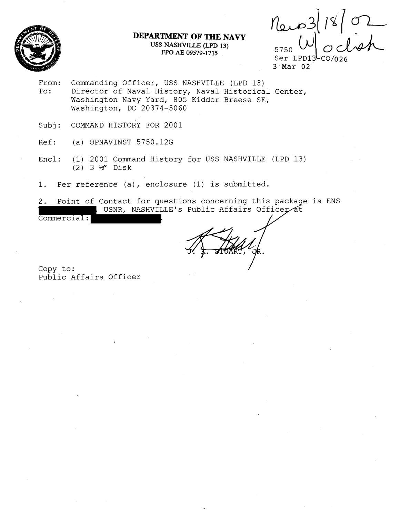

# **DEPARTMENT OF THE NAVY USS NASHVILLE (LPD 13) FPO AE 09579-1715** 5750 **CO**

 $|18|02$ 

3 Mar 02

- From: Commanding Officer, USS NASHVILLE (LPD 13)<br>To: Director of Naval History, Naval Historica Director of Naval History, Naval Historical Center, Washington Navy Yard, 805 Kidder Breese SE, Washington, DC 20374-5060
- Subj: COMMAND HISTORY FOR 2001
- Ref: (a) OPNAVINST 5750.12G
- Encl: (1) 2001 Command History for USS NASHVILLE (LPD 13) (2) 3 *W* Disk
- 1. Per reference (a), enclosure (1) is submitted.
- 2. Point of Contact for questions concerning this package is ENS USNR, NASHVILLE's Public Affairs Officer at

Commercial: .

Copy to: Public Affairs Officer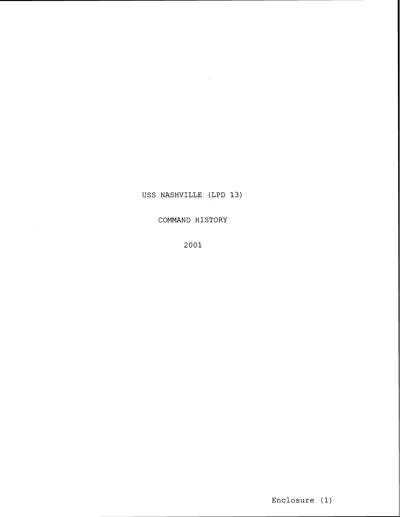Enclosure (1)

2001

COMMAND HISTORY

USS NASHVILLE (LPD 13)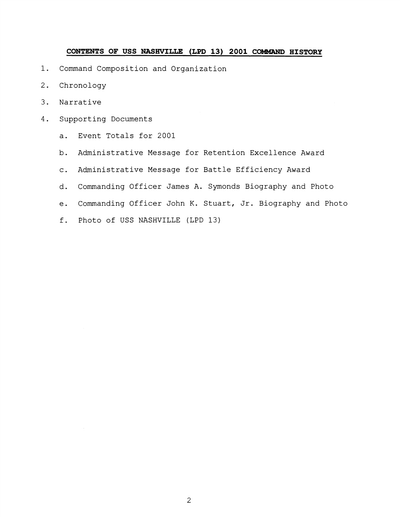### **CONTENTS OF USS NASHVILLE (LPD 13) 2001 CobMAND HISTORY**

- 1. Command Composition and Organization
- 2. Chronology
- 3. Narrative
- 4. Supporting Documents
	- a. Event Totals for 2001
	- b. Administrative Message for Retention Excellence Award
	- c. Administrative Message for Battle Efficiency Award
	- d. Commanding Officer James A. Symonds Biography and Photo
	- e. Commanding Officer John K. Stuart, Jr. Biography and Photo
	- f. Photo of USS NASHVILLE (LPD 13)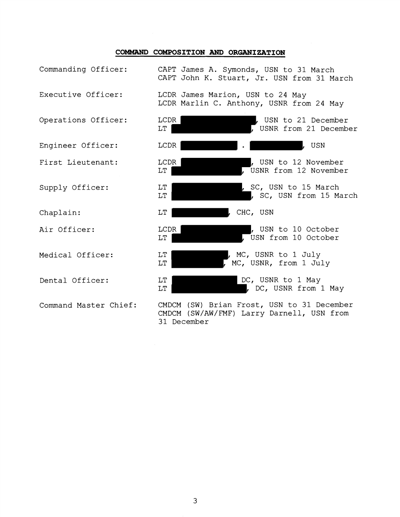### COMMAND COMPOSITION AND ORGANIZATION

| Commanding Officer:   | CAPT James A. Symonds, USN to 31 March<br>CAPT John K. Stuart, Jr. USN from 31 March                   |
|-----------------------|--------------------------------------------------------------------------------------------------------|
| Executive Officer:    | LCDR James Marion, USN to 24 May<br>LCDR Marlin C. Anthony, USNR from 24 May                           |
| Operations Officer:   | LCDR<br>, USN to 21 December<br>, USNR from 21 December<br>LT.                                         |
| Engineer Officer:     | LCDR<br>, usn                                                                                          |
| First Lieutenant:     | LCDR<br>, USN to 12 November<br>LT.<br>USNR from 12 November                                           |
| Supply Officer:       | SC, USN to 15 March<br>LT<br>LT.<br>, SC, USN from 15 March                                            |
| Chaplain:             | $\mathop{\rm LT}\nolimits$<br>, CHC, USN                                                               |
| Air Officer:          | LCDR<br>, USN to 10 October<br>USN from 10 October<br>LT.                                              |
| Medical Officer:      | LT<br>, MC, USNR to 1 July<br>MC, USNR, from 1 July<br>LT                                              |
| Dental Officer:       | DC, USNR to 1 May<br>LT<br>, DC, USNR from 1 May<br>LT.                                                |
| Command Master Chief: | CMDCM (SW) Brian Frost, USN to 31 December<br>CMDCM (SW/AW/FMF) Larry Darnell, USN from<br>31 December |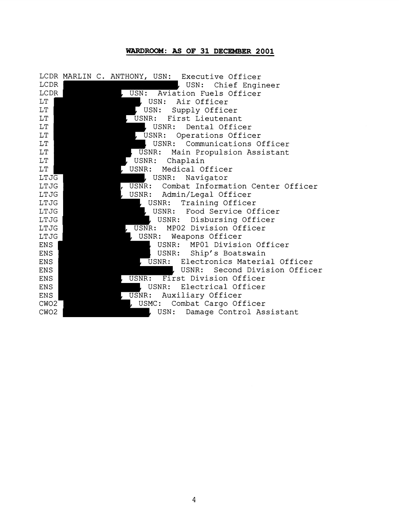# **WARDROOM: AS OF 31 DECEMBER 2001**

|                  |  | LCDR MARLIN C. ANTHONY, USN: Executive Officer     |
|------------------|--|----------------------------------------------------|
| LCDR             |  | , USN: Chief Engineer                              |
| LCDR             |  | USN:<br>Aviation Fuels Officer                     |
| LT.              |  | USN: Air Officer                                   |
| LT               |  | USN:<br>Supply Officer                             |
| LT               |  | USNR: First Lieutenant                             |
| LT               |  | USNR:<br>Dental Officer                            |
| $\rm LT$         |  | , USNR: Operations Officer                         |
| LT               |  | USNR:<br>Communications Officer                    |
| LT               |  | USNR: Main Propulsion Assistant                    |
| LT               |  | USNR: Chaplain                                     |
| LT               |  | Medical Officer<br>USNR:                           |
| LTJG             |  | USNR:<br>Navigator                                 |
| LTJG             |  | USNR: Combat Information Center Officer            |
| LTJG             |  | USNR: Admin/Legal Officer                          |
| LTJG             |  | $\mathsf{L}\ \ \texttt{USNR:}$<br>Training Officer |
| LTJG             |  | USNR: Food Service Officer                         |
| LTJG             |  | USNR: Disbursing Officer                           |
| LTJG             |  | , USNR: MP02 Division Officer                      |
| LTJG             |  | USNR: Weapons Officer                              |
| <b>ENS</b>       |  | USNR: MP01 Division Officer                        |
| ENS              |  | USNR:<br>Ship's Boatswain                          |
| <b>ENS</b>       |  | USNR: Electronics Material Officer                 |
| ENS              |  | USNR:<br>Second Division Officer                   |
| ENS              |  | USNR: First Division Officer                       |
| ENS              |  | USNR:<br>Electrical Officer                        |
| <b>ENS</b>       |  | Auxiliary Officer<br>$\overline{\mathtt{USNR}}$ :  |
| CW <sub>O2</sub> |  | USMC:<br>Combat Cargo Officer                      |
| CWO <sub>2</sub> |  | USN:<br>Damage Control Assistant                   |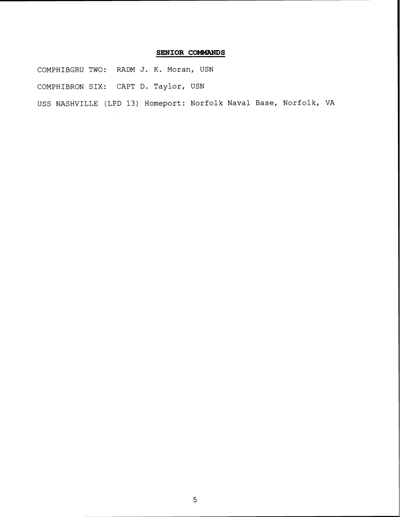### **SENIOR COMMANDS**

COMPHIBGRU TWO: RADM J. K. Moran, USN COMPHIBRON SIX: CAPT D. Taylor, USN USS NASHVILLE (LPD 13) Homeport: Norfolk Naval Base, Norfolk, VA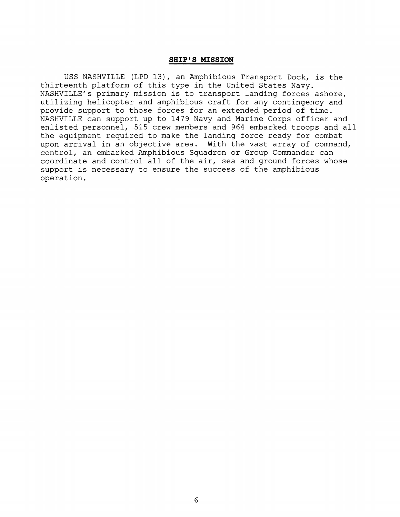#### **SHIP' S MISSION**

USS NASHVILLE (LPD 13), an Amphibious Transport Dock, is the thirteenth platform of this type in the United States Navy. NASHVILLE'S primary mission is to transport landing forces ashore, utilizing helicopter and amphibious craft for any contingency and provide support to those forces for an extended period of time. NASHVILLE can support up to 1479 Navy and Marine Corps officer and enlisted personnel, 515 crew members and 964 embarked troops and all the equipment required to make the landing force ready for combat upon arrival in an objective area. With the vast array of command, control, an embarked Amphibious Squadron or Group Commander can coordinate and control all of the air, sea and ground forces whose support is necessary to ensure the success of the amphibious operation.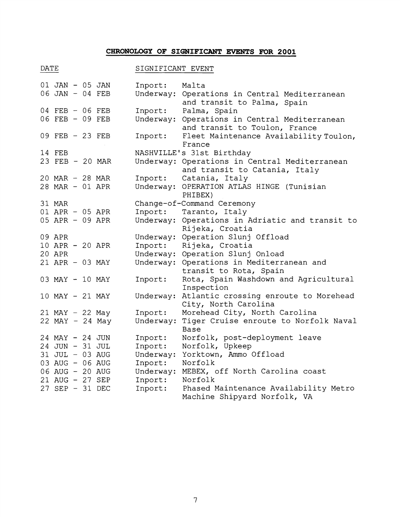## **CHRONOLOGY OF SIGNIFICANT EVENTS FOR 2001**

| ۰.<br>۰, |  |
|----------|--|
|          |  |

## SIGNIFICANT EVENT

| 01 JAN - 05 JAN<br>06 JAN - 04 FEB   |  | Inport:<br>Underway: | Malta<br>Operations in Central Mediterranean          |
|--------------------------------------|--|----------------------|-------------------------------------------------------|
| 04 FEB - 06 FEB                      |  | Inport:              | and transit to Palma, Spain<br>Palma, Spain           |
| 06 FEB - 09 FEB                      |  | Underway:            | Operations in Central Mediterranean                   |
|                                      |  |                      | and transit to Toulon, France                         |
| 09 FEB - 23 FEB                      |  | Inport:              | Fleet Maintenance Availability Toulon,                |
|                                      |  |                      | France                                                |
| 14 FEB                               |  |                      | NASHVILLE's 31st Birthday                             |
| 23 FEB - 20 MAR                      |  |                      | Underway: Operations in Central Mediterranean         |
|                                      |  |                      | and transit to Catania, Italy                         |
| 20 MAR - 28 MAR                      |  | Inport:              | Catania, Italy                                        |
| 28 MAR - 01 APR                      |  |                      | Underway: OPERATION ATLAS HINGE (Tunisian             |
|                                      |  |                      | PHIBEX)                                               |
| 31 MAR                               |  |                      | Change-of-Command Ceremony                            |
| 01 APR - 05 APR                      |  | Inport:              | Taranto, Italy                                        |
| 05 APR - 09 APR                      |  |                      | Underway: Operations in Adriatic and transit to       |
|                                      |  |                      | Rijeka, Croatia                                       |
| 09 APR                               |  |                      | Underway: Operation Slunj Offload                     |
| 10 APR - 20 APR                      |  | Inport:              | Rijeka, Croatia                                       |
| 20 APR                               |  |                      | Underway: Operation Slunj Onload                      |
| 21 APR - 03 MAY                      |  |                      | Underway: Operations in Mediterranean and             |
|                                      |  |                      | transit to Rota, Spain                                |
| 03 MAY - 10 MAY                      |  | Inport:              | Rota, Spain Washdown and Agricultural                 |
|                                      |  |                      | Inspection                                            |
| 10 MAY - 21 MAY                      |  | Underway:            | Atlantic crossing enroute to Morehead                 |
|                                      |  | Inport:              | City, North Carolina<br>Morehead City, North Carolina |
| 21 MAY - 22 May<br>$22$ MAY - 24 May |  | Underway:            | Tiger Cruise enroute to Norfolk Naval                 |
|                                      |  |                      | Base                                                  |
| 24 MAY - 24 JUN                      |  | Inport:              | Norfolk, post-deployment leave                        |
| 24 JUN - 31 JUL                      |  | Inport:              | Norfolk, Upkeep                                       |
| 31 JUL - 03 AUG                      |  | Underway:            | Yorktown, Ammo Offload                                |
| 03 AUG - 06 AUG                      |  | Inport:              | Norfolk                                               |
| 06 AUG - 20 AUG                      |  | Underway:            | MEBEX, off North Carolina coast                       |
| 21 AUG - 27 SEP                      |  | Inport:              | Norfolk                                               |
| 27 SEP - 31 DEC                      |  | Inport:              | Phased Maintenance Availability Metro                 |
|                                      |  |                      | Machine Shipyard Norfolk, VA                          |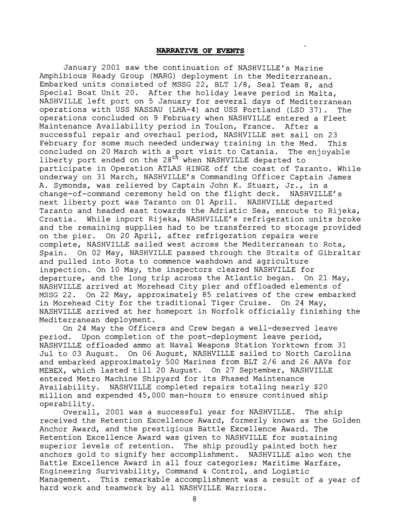#### **NARRATIVE OF EVENTS**

January 2001 saw the continuation of NASHVILLE'S Marine Amphibious Ready Group (MARG) deployment in the Mediterranean. Embarked units consisted of MSSG 22, BLT 1/8, Seal Team 8, and Special Boat Unit 20. After the holiday leave period in Malta, NASHVILLE left port on 5 January for several days of Mediterranean operations with USS NASSAU (LHA-4) and USS Portland (LSD 37). The operations concluded on 9 February when NASHVILLE entered a Fleet Maintenance Availability period in Toulon, France. After a successful repair and overhaul period, NASHVILLE set sail on 23 February for some much needed underway training in the Med. This concluded on 20 March with a port visit to Catania. The enjoyable liberty port ended on the 28<sup>th</sup> when NASHVILLE departed to participate in Operation ATLAS HINGE off the coast of Taranto. While underway on 31 March, NASHVILLE'S Commanding Officer Captain James A. Symonds, was relieved by Captain John K. Stuart, Jr., in a change-of-command ceremony held on the flight deck. NASHVILLE's next liberty port was Taranto on 01 April. NASHVILLE departed Taranto and headed east towards the Adriatic Sea, enroute to Rijeka, Croatia. While inport Rijeka, NASHVILLE'S refrigeration units broke and the remaining supplies had to be transferred to storage provided on the pier. On 20 April, after refrigeration repairs were complete, NASHVILLE sailed west across the Mediterranean to Rota, Spain. On 02 May, NASHVILLE passed through the Straits of Gibraltar and pulled into Rota to commence washdown and agriculture inspection. On 10 May, the inspectors cleared NASHVILLE for departure, and the long trip across the Atlantic began. On 21 May, NASHVILLE arrived at Morehead City pier and offloaded elements of MSSG 22. On 22 May, approximately 85 relatives of the crew embarked in Morehead City for the traditional Tiger Cruise. On 24 May, NASHVILLE arrived at her homeport in Norfolk officially finishing the Mediterranean deployment.

On 24 May the Officers and Crew began a well-deserved leave period. Upon completion of the post-deployment leave period, NASHVILLE offloaded ammo at Naval Weapons Station Yorktown from 31 Jul to 03 August. On 06 August, NASHVILLE sailed to North Carolina and embarked approximately 500 Marines from BLT 2/6 and 26 AAVs for MEBEX, which lasted till 20 August. On 27 September, NASHVILLE entered Metro Machine Shipyard for its Phased Maintenance Availability. NASHVILLE completed repairs totaling nearly \$20 million and expended 45,000 man-hours to ensure continued ship operability.

Overall, 2001 was a successful year for NASHVILLE. The ship received the Retention Excellence Award, formerly known as the Golden Anchor Award, and the prestigious Battle Excellence Award. The Retention Excellence Award was given to NASHVILLE for sustaining superior levels of retention. The ship proudly painted both her anchors gold to signify her accomplishment. NASHVILLE also won the Battle Excellence Award in all four categories; Maritime Warfare, Engineering Survivability, Command & Control, and Logistic Management. This remarkable accomplishment was a result of a year of hard work and teamwork by all NASHVILLE Warriors.